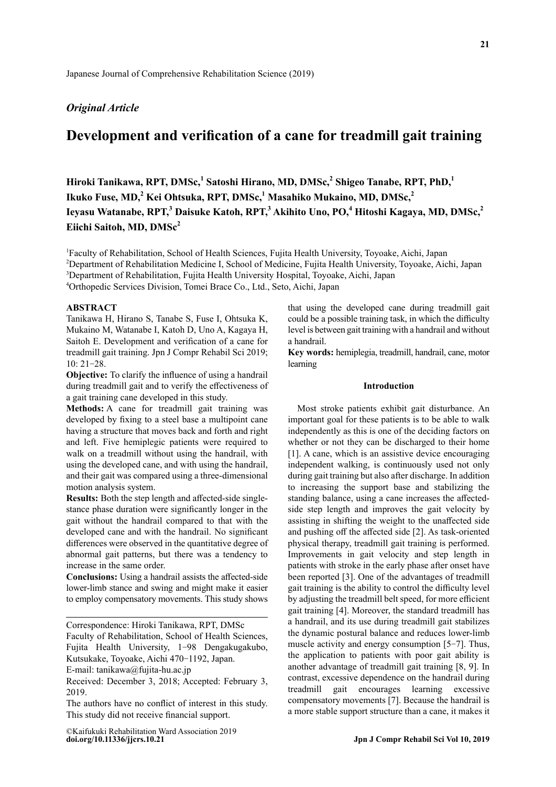# *Original Article*

# **Development and verification of a cane for treadmill gait training**

**Hiroki Tanikawa, RPT, DMSc,<sup>1</sup> Satoshi Hirano, MD, DMSc,2 Shigeo Tanabe, RPT, PhD,<sup>1</sup> Ikuko Fuse, MD,<sup>2</sup> Kei Ohtsuka, RPT, DMSc,1 Masahiko Mukaino, MD, DMSc,<sup>2</sup> Ieyasu Watanabe, RPT,<sup>3</sup> Daisuke Katoh, RPT,3 Akihito Uno, PO,<sup>4</sup> Hitoshi Kagaya, MD, DMSc,<sup>2</sup>** Eiichi Saitoh, MD, DMSc<sup>2</sup>

1 Faculty of Rehabilitation, School of Health Sciences, Fujita Health University, Toyoake, Aichi, Japan

2 Department of Rehabilitation Medicine I, School of Medicine, Fujita Health University, Toyoake, Aichi, Japan

<sup>3</sup>Department of Rehabilitation, Fujita Health University Hospital, Toyoake, Aichi, Japan

4 Orthopedic Services Division, Tomei Brace Co., Ltd., Seto, Aichi, Japan

## **ABSTRACT**

Tanikawa H, Hirano S, Tanabe S, Fuse I, Ohtsuka K, Mukaino M, Watanabe I, Katoh D, Uno A, Kagaya H, Saitoh E. Development and verification of a cane for treadmill gait training. Jpn J Compr Rehabil Sci 2019; 10: 21-28.

**Objective:** To clarify the influence of using a handrail during treadmill gait and to verify the effectiveness of a gait training cane developed in this study.

**Methods:** A cane for treadmill gait training was developed by fixing to a steel base a multipoint cane having a structure that moves back and forth and right and left. Five hemiplegic patients were required to walk on a treadmill without using the handrail, with using the developed cane, and with using the handrail, and their gait was compared using a three-dimensional motion analysis system.

**Results:** Both the step length and affected-side singlestance phase duration were significantly longer in the gait without the handrail compared to that with the developed cane and with the handrail. No significant differences were observed in the quantitative degree of abnormal gait patterns, but there was a tendency to increase in the same order.

**Conclusions:** Using a handrail assists the affected-side lower-limb stance and swing and might make it easier to employ compensatory movements. This study shows

Correspondence: Hiroki Tanikawa, RPT, DMSc

Faculty of Rehabilitation, School of Health Sciences, Fujita Health University, 1-98 Dengakugakubo, Kutsukake, Toyoake, Aichi 470-1192, Japan.

E-mail: tanikawa@fujita-hu.ac.jp

Received: December 3, 2018; Accepted: February 3, 2019.

The authors have no conflict of interest in this study. This study did not receive financial support.

**doi.org/10.11336/jjcrs.10.21** ©Kaifukuki Rehabilitation Ward Association 2019 that using the developed cane during treadmill gait could be a possible training task, in which the difficulty level is between gait training with a handrail and without a handrail.

**Key words:** hemiplegia, treadmill, handrail, cane, motor learning

### **Introduction**

Most stroke patients exhibit gait disturbance. An important goal for these patients is to be able to walk independently as this is one of the deciding factors on whether or not they can be discharged to their home [1]. A cane, which is an assistive device encouraging independent walking, is continuously used not only during gait training but also after discharge. In addition to increasing the support base and stabilizing the standing balance, using a cane increases the affectedside step length and improves the gait velocity by assisting in shifting the weight to the unaffected side and pushing off the affected side [2]. As task-oriented physical therapy, treadmill gait training is performed. Improvements in gait velocity and step length in patients with stroke in the early phase after onset have been reported [3]. One of the advantages of treadmill gait training is the ability to control the difficulty level by adjusting the treadmill belt speed, for more efficient gait training [4]. Moreover, the standard treadmill has a handrail, and its use during treadmill gait stabilizes the dynamic postural balance and reduces lower-limb muscle activity and energy consumption [5-7]. Thus, the application to patients with poor gait ability is another advantage of treadmill gait training [8, 9]. In contrast, excessive dependence on the handrail during treadmill gait encourages learning excessive compensatory movements [7]. Because the handrail is a more stable support structure than a cane, it makes it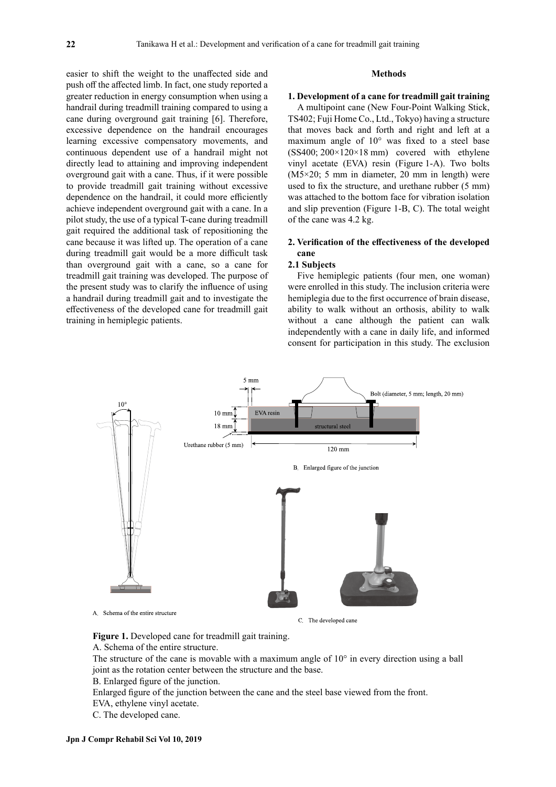easier to shift the weight to the unaffected side and push off the affected limb. In fact, one study reported a greater reduction in energy consumption when using a handrail during treadmill training compared to using a cane during overground gait training [6]. Therefore, excessive dependence on the handrail encourages learning excessive compensatory movements, and continuous dependent use of a handrail might not directly lead to attaining and improving independent overground gait with a cane. Thus, if it were possible to provide treadmill gait training without excessive dependence on the handrail, it could more efficiently achieve independent overground gait with a cane. In a pilot study, the use of a typical T-cane during treadmill gait required the additional task of repositioning the cane because it was lifted up. The operation of a cane during treadmill gait would be a more difficult task than overground gait with a cane, so a cane for treadmill gait training was developed. The purpose of the present study was to clarify the influence of using a handrail during treadmill gait and to investigate the effectiveness of the developed cane for treadmill gait training in hemiplegic patients.

### **Methods**

#### **1. Development of a cane for treadmill gait training**

A multipoint cane (New Four-Point Walking Stick, TS402; Fuji Home Co., Ltd., Tokyo) having a structure that moves back and forth and right and left at a maximum angle of 10° was fixed to a steel base  $(SS400; 200 \times 120 \times 18 \text{ mm})$  covered with ethylene vinyl acetate (EVA) resin (Figure 1-A). Two bolts (M5×20; 5 mm in diameter, 20 mm in length) were used to fix the structure, and urethane rubber (5 mm) was attached to the bottom face for vibration isolation and slip prevention (Figure 1-B, C). The total weight of the cane was 4.2 kg.

# **2. Verification of the effectiveness of the developed cane**

## **2.1 Subjects**

Five hemiplegic patients (four men, one woman) were enrolled in this study. The inclusion criteria were hemiplegia due to the first occurrence of brain disease, ability to walk without an orthosis, ability to walk without a cane although the patient can walk independently with a cane in daily life, and informed consent for participation in this study. The exclusion



C. The developed cane

**Figure 1.** Developed cane for treadmill gait training.

A. Schema of the entire structure.

The structure of the cane is movable with a maximum angle of  $10^{\circ}$  in every direction using a ball joint as the rotation center between the structure and the base.

B. Enlarged figure of the junction.

Enlarged figure of the junction between the cane and the steel base viewed from the front.

EVA, ethylene vinyl acetate.

C. The developed cane.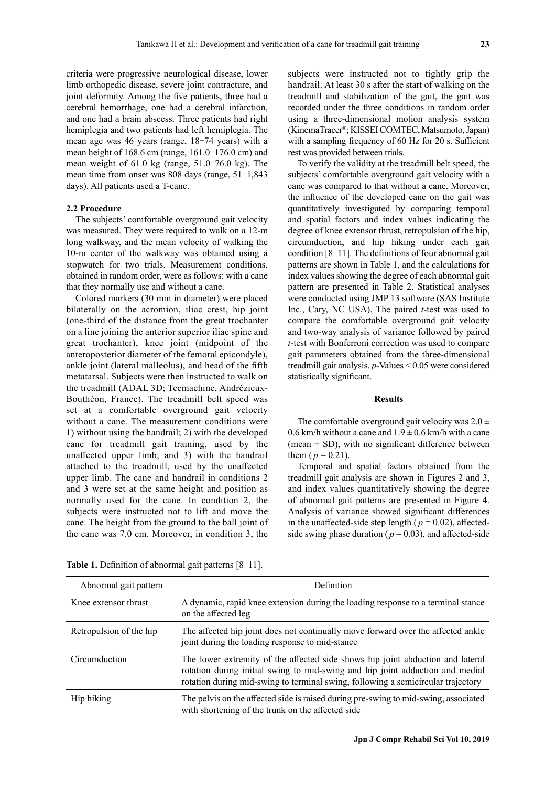criteria were progressive neurological disease, lower limb orthopedic disease, severe joint contracture, and joint deformity. Among the five patients, three had a cerebral hemorrhage, one had a cerebral infarction, and one had a brain abscess. Three patients had right hemiplegia and two patients had left hemiplegia. The mean age was 46 years (range, 18–74 years) with a mean height of 168.6 cm (range, 161.0–176.0 cm) and mean weight of 61.0 kg (range, 51.0–76.0 kg). The mean time from onset was 808 days (range, 51–1,843 days). All patients used a T-cane.

### **2.2 Procedure**

The subjects' comfortable overground gait velocity was measured. They were required to walk on a 12-m long walkway, and the mean velocity of walking the 10-m center of the walkway was obtained using a stopwatch for two trials. Measurement conditions, obtained in random order, were as follows: with a cane that they normally use and without a cane.

Colored markers (30 mm in diameter) were placed bilaterally on the acromion, iliac crest, hip joint (one-third of the distance from the great trochanter on a line joining the anterior superior iliac spine and great trochanter), knee joint (midpoint of the anteroposterior diameter of the femoral epicondyle), ankle joint (lateral malleolus), and head of the fifth metatarsal. Subjects were then instructed to walk on the treadmill (ADAL 3D; Tecmachine, Andrézieux-Bouthéon, France). The treadmill belt speed was set at a comfortable overground gait velocity without a cane. The measurement conditions were 1) without using the handrail; 2) with the developed cane for treadmill gait training, used by the unaffected upper limb; and 3) with the handrail attached to the treadmill, used by the unaffected upper limb. The cane and handrail in conditions 2 and 3 were set at the same height and position as normally used for the cane. In condition 2, the subjects were instructed not to lift and move the cane. The height from the ground to the ball joint of the cane was 7.0 cm. Moreover, in condition 3, the subjects were instructed not to tightly grip the handrail. At least 30 s after the start of walking on the treadmill and stabilization of the gait, the gait was recorded under the three conditions in random order using a three-dimensional motion analysis system (KinemaTracer®; KISSEI COMTEC, Matsumoto, Japan) with a sampling frequency of 60 Hz for 20 s. Sufficient rest was provided between trials.

To verify the validity at the treadmill belt speed, the subjects' comfortable overground gait velocity with a cane was compared to that without a cane. Moreover, the influence of the developed cane on the gait was quantitatively investigated by comparing temporal and spatial factors and index values indicating the degree of knee extensor thrust, retropulsion of the hip, circumduction, and hip hiking under each gait condition [8-11]. The definitions of four abnormal gait patterns are shown in Table 1, and the calculations for index values showing the degree of each abnormal gait pattern are presented in Table 2. Statistical analyses were conducted using JMP 13 software (SAS Institute Inc., Cary, NC USA). The paired *t*-test was used to compare the comfortable overground gait velocity and two-way analysis of variance followed by paired *t*-test with Bonferroni correction was used to compare gait parameters obtained from the three-dimensional treadmill gait analysis. *p*-Values < 0.05 were considered statistically significant.

### **Results**

The comfortable overground gait velocity was  $2.0 \pm$ 0.6 km/h without a cane and  $1.9 \pm 0.6$  km/h with a cane (mean  $\pm$  SD), with no significant difference between them ( $p = 0.21$ ).

Temporal and spatial factors obtained from the treadmill gait analysis are shown in Figures 2 and 3, and index values quantitatively showing the degree of abnormal gait patterns are presented in Figure 4. Analysis of variance showed significant differences in the unaffected-side step length ( $p = 0.02$ ), affectedside swing phase duration ( $p = 0.03$ ), and affected-side

| Abnormal gait pattern   | Definition                                                                                                                                                                                                                                          |
|-------------------------|-----------------------------------------------------------------------------------------------------------------------------------------------------------------------------------------------------------------------------------------------------|
| Knee extensor thrust    | A dynamic, rapid knee extension during the loading response to a terminal stance<br>on the affected leg                                                                                                                                             |
| Retropulsion of the hip | The affected hip joint does not continually move forward over the affected ankle<br>joint during the loading response to mid-stance                                                                                                                 |
| Circumduction           | The lower extremity of the affected side shows hip joint abduction and lateral<br>rotation during initial swing to mid-swing and hip joint adduction and medial<br>rotation during mid-swing to terminal swing, following a semicircular trajectory |
| Hip hiking              | The pelvis on the affected side is raised during pre-swing to mid-swing, associated<br>with shortening of the trunk on the affected side                                                                                                            |

**Table 1.** Definition of abnormal gait patterns [8-11].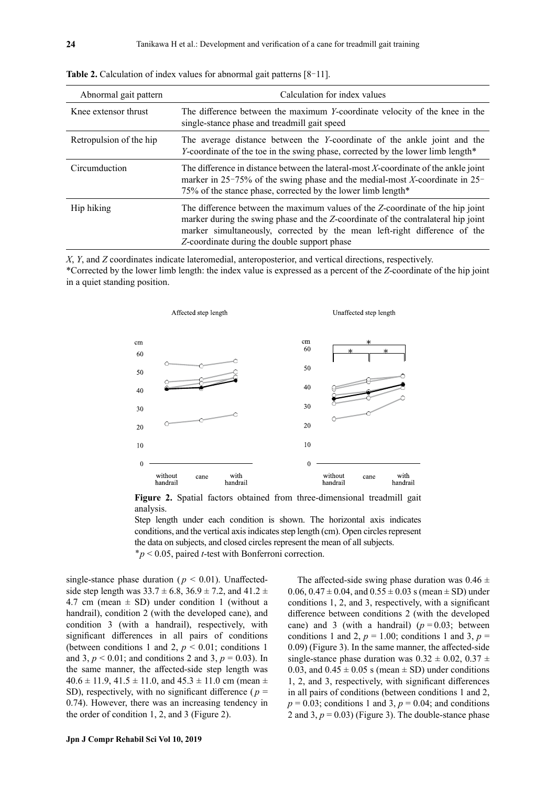| Abnormal gait pattern   | Calculation for index values                                                                                                                                                                                                                                                                     |
|-------------------------|--------------------------------------------------------------------------------------------------------------------------------------------------------------------------------------------------------------------------------------------------------------------------------------------------|
| Knee extensor thrust    | The difference between the maximum Y-coordinate velocity of the knee in the<br>single-stance phase and treadmill gait speed                                                                                                                                                                      |
| Retropulsion of the hip | The average distance between the Y-coordinate of the ankle joint and the<br>Y-coordinate of the toe in the swing phase, corrected by the lower limb length*                                                                                                                                      |
| Circumduction           | The difference in distance between the lateral-most X-coordinate of the ankle joint<br>marker in $25-75%$ of the swing phase and the medial-most X-coordinate in $25-$<br>75% of the stance phase, corrected by the lower limb length*                                                           |
| Hip hiking              | The difference between the maximum values of the Z-coordinate of the hip joint<br>marker during the swing phase and the Z-coordinate of the contralateral hip joint<br>marker simultaneously, corrected by the mean left-right difference of the<br>Z-coordinate during the double support phase |

Table 2. Calculation of index values for abnormal gait patterns [8-11].

*X*, *Y*, and *Z* coordinates indicate lateromedial, anteroposterior, and vertical directions, respectively. \*Corrected by the lower limb length: the index value is expressed as a percent of the *Z*-coordinate of the hip joint in a quiet standing position.



Figure 2. Spatial factors obtained from three-dimensional treadmill gait analysis.

Step length under each condition is shown. The horizontal axis indicates conditions, and the vertical axis indicates step length (cm). Open circles represent the data on subjects, and closed circles represent the mean of all subjects. \**p* < 0.05, paired *t*-test with Bonferroni correction.

single-stance phase duration ( $p < 0.01$ ). Unaffectedside step length was  $33.7 \pm 6.8$ ,  $36.9 \pm 7.2$ , and  $41.2 \pm 7.2$ 4.7 cm (mean  $\pm$  SD) under condition 1 (without a handrail), condition 2 (with the developed cane), and condition 3 (with a handrail), respectively, with significant differences in all pairs of conditions (between conditions 1 and 2,  $p < 0.01$ ; conditions 1 and 3,  $p < 0.01$ ; and conditions 2 and 3,  $p = 0.03$ ). In the same manner, the affected-side step length was  $40.6 \pm 11.9$ ,  $41.5 \pm 11.0$ , and  $45.3 \pm 11.0$  cm (mean  $\pm$ SD), respectively, with no significant difference ( $p =$ 0.74). However, there was an increasing tendency in the order of condition 1, 2, and 3 (Figure 2).

The affected-side swing phase duration was  $0.46 \pm$  $0.06, 0.47 \pm 0.04$ , and  $0.55 \pm 0.03$  s (mean  $\pm$  SD) under conditions 1, 2, and 3, respectively, with a significant difference between conditions 2 (with the developed cane) and 3 (with a handrail)  $(p = 0.03;$  between conditions 1 and 2,  $p = 1.00$ ; conditions 1 and 3,  $p =$ 0.09) (Figure 3). In the same manner, the affected-side single-stance phase duration was  $0.32 \pm 0.02$ ,  $0.37 \pm 0.02$ 0.03, and  $0.45 \pm 0.05$  s (mean  $\pm$  SD) under conditions 1, 2, and 3, respectively, with significant differences in all pairs of conditions (between conditions 1 and 2,  $p = 0.03$ ; conditions 1 and 3,  $p = 0.04$ ; and conditions 2 and 3,  $p = 0.03$ ) (Figure 3). The double-stance phase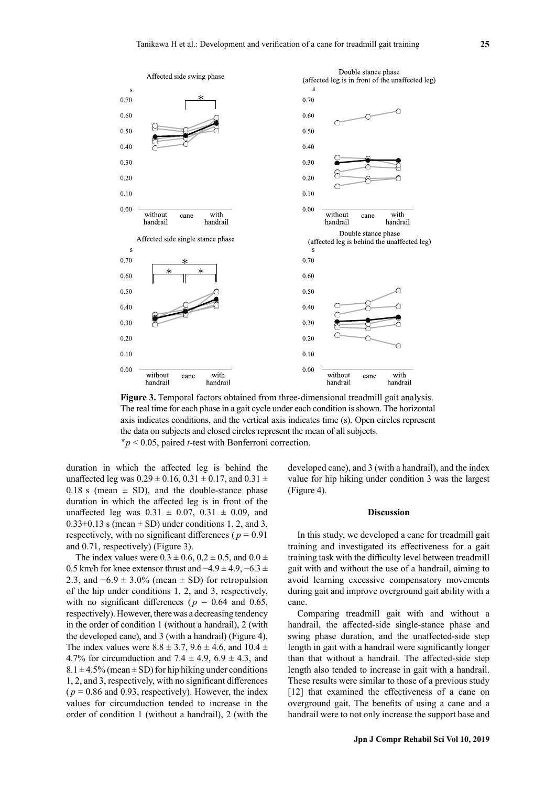

**Figure 3.** Temporal factors obtained from three-dimensional treadmill gait analysis. The real time for each phase in a gait cycle under each condition is shown. The horizontal axis indicates conditions, and the vertical axis indicates time (s). Open circles represent the data on subjects and closed circles represent the mean of all subjects. \**p* < 0.05, paired *t*-test with Bonferroni correction.

duration in which the affected leg is behind the unaffected leg was  $0.29 \pm 0.16$ ,  $0.31 \pm 0.17$ , and  $0.31 \pm 0.17$ 0.18 s (mean  $\pm$  SD), and the double-stance phase duration in which the affected leg is in front of the unaffected leg was  $0.31 \pm 0.07$ ,  $0.31 \pm 0.09$ , and  $0.33\pm0.13$  s (mean  $\pm$  SD) under conditions 1, 2, and 3, respectively, with no significant differences ( $p = 0.91$ ) and 0.71, respectively) (Figure 3).

The index values were  $0.3 \pm 0.6$ ,  $0.2 \pm 0.5$ , and  $0.0 \pm 0.5$ 0.5 km/h for knee extensor thrust and  $-4.9 \pm 4.9, -6.3 \pm 0.5$ 2.3, and  $-6.9 \pm 3.0\%$  (mean  $\pm$  SD) for retropulsion of the hip under conditions 1, 2, and 3, respectively, with no significant differences ( $p = 0.64$  and 0.65, respectively). However, there was a decreasing tendency in the order of condition 1 (without a handrail), 2 (with the developed cane), and 3 (with a handrail) (Figure 4). The index values were  $8.8 \pm 3.7$ ,  $9.6 \pm 4.6$ , and  $10.4 \pm 1.6$ 4.7% for circumduction and 7.4  $\pm$  4.9, 6.9  $\pm$  4.3, and  $8.1 \pm 4.5\%$  (mean  $\pm$  SD) for hip hiking under conditions 1, 2, and 3, respectively, with no significant differences  $(p = 0.86$  and 0.93, respectively). However, the index values for circumduction tended to increase in the order of condition 1 (without a handrail), 2 (with the

developed cane), and 3 (with a handrail), and the index value for hip hiking under condition 3 was the largest (Figure 4).

#### **Discussion**

In this study, we developed a cane for treadmill gait training and investigated its effectiveness for a gait training task with the difficulty level between treadmill gait with and without the use of a handrail, aiming to avoid learning excessive compensatory movements during gait and improve overground gait ability with a cane.

Comparing treadmill gait with and without a handrail, the affected-side single-stance phase and swing phase duration, and the unaffected-side step length in gait with a handrail were significantly longer than that without a handrail. The affected-side step length also tended to increase in gait with a handrail. These results were similar to those of a previous study [12] that examined the effectiveness of a cane on overground gait. The benefits of using a cane and a handrail were to not only increase the support base and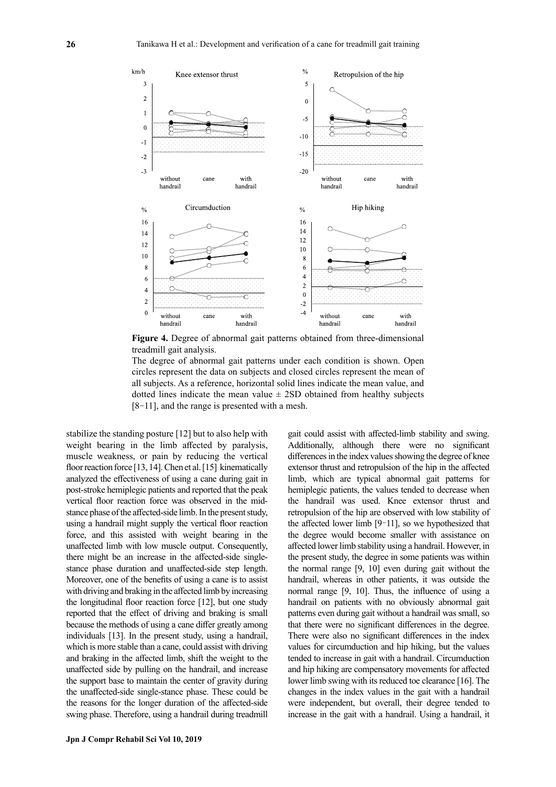

**Figure 4.** Degree of abnormal gait patterns obtained from three-dimensional treadmill gait analysis.

The degree of abnormal gait patterns under each condition is shown. Open circles represent the data on subjects and closed circles represent the mean of all subjects. As a reference, horizontal solid lines indicate the mean value, and dotted lines indicate the mean value  $\pm$  2SD obtained from healthy subjects [8-11], and the range is presented with a mesh.

stabilize the standing posture [12] but to also help with weight bearing in the limb affected by paralysis, muscle weakness, or pain by reducing the vertical floor reaction force [13, 14]. Chen et al. [15] kinematically analyzed the effectiveness of using a cane during gait in post-stroke hemiplegic patients and reported that the peak vertical floor reaction force was observed in the midstance phase of the affected-side limb. In the present study, using a handrail might supply the vertical floor reaction force, and this assisted with weight bearing in the unaffected limb with low muscle output. Consequently, there might be an increase in the affected-side singlestance phase duration and unaffected-side step length. Moreover, one of the benefits of using a cane is to assist with driving and braking in the affected limb by increasing the longitudinal floor reaction force [12], but one study reported that the effect of driving and braking is small because the methods of using a cane differ greatly among individuals [13]. In the present study, using a handrail, which is more stable than a cane, could assist with driving and braking in the affected limb, shift the weight to the unaffected side by pulling on the handrail, and increase the support base to maintain the center of gravity during the unaffected-side single-stance phase. These could be the reasons for the longer duration of the affected-side swing phase. Therefore, using a handrail during treadmill gait could assist with affected-limb stability and swing. Additionally, although there were no significant differences in the index values showing the degree of knee extensor thrust and retropulsion of the hip in the affected limb, which are typical abnormal gait patterns for hemiplegic patients, the values tended to decrease when the handrail was used. Knee extensor thrust and retropulsion of the hip are observed with low stability of the affected lower limb [9-11], so we hypothesized that the degree would become smaller with assistance on affected lower limb stability using a handrail. However, in the present study, the degree in some patients was within the normal range [9, 10] even during gait without the handrail, whereas in other patients, it was outside the normal range [9, 10]. Thus, the influence of using a handrail on patients with no obviously abnormal gait patterns even during gait without a handrail was small, so that there were no significant differences in the degree. There were also no significant differences in the index values for circumduction and hip hiking, but the values tended to increase in gait with a handrail. Circumduction and hip hiking are compensatory movements for affected lower limb swing with its reduced toe clearance [16]. The changes in the index values in the gait with a handrail were independent, but overall, their degree tended to increase in the gait with a handrail. Using a handrail, it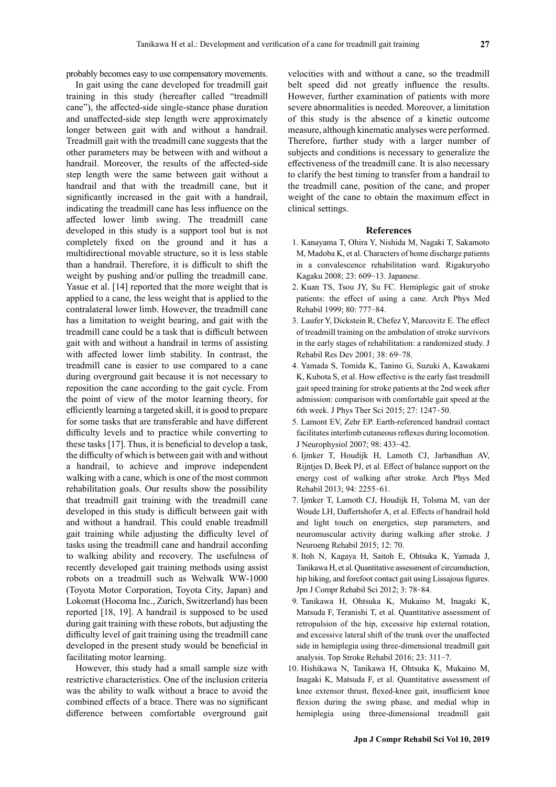probably becomes easy to use compensatory movements.

In gait using the cane developed for treadmill gait training in this study (hereafter called "treadmill cane"), the affected-side single-stance phase duration and unaffected-side step length were approximately longer between gait with and without a handrail. Treadmill gait with the treadmill cane suggests that the other parameters may be between with and without a handrail. Moreover, the results of the affected-side step length were the same between gait without a handrail and that with the treadmill cane, but it significantly increased in the gait with a handrail, indicating the treadmill cane has less influence on the affected lower limb swing. The treadmill cane developed in this study is a support tool but is not completely fixed on the ground and it has a multidirectional movable structure, so it is less stable than a handrail. Therefore, it is difficult to shift the weight by pushing and/or pulling the treadmill cane. Yasue et al. [14] reported that the more weight that is applied to a cane, the less weight that is applied to the contralateral lower limb. However, the treadmill cane has a limitation to weight bearing, and gait with the treadmill cane could be a task that is difficult between gait with and without a handrail in terms of assisting with affected lower limb stability. In contrast, the treadmill cane is easier to use compared to a cane during overground gait because it is not necessary to reposition the cane according to the gait cycle. From the point of view of the motor learning theory, for efficiently learning a targeted skill, it is good to prepare for some tasks that are transferable and have different difficulty levels and to practice while converting to these tasks [17]. Thus, it is beneficial to develop a task, the difficulty of which is between gait with and without a handrail, to achieve and improve independent walking with a cane, which is one of the most common rehabilitation goals. Our results show the possibility that treadmill gait training with the treadmill cane developed in this study is difficult between gait with and without a handrail. This could enable treadmill gait training while adjusting the difficulty level of tasks using the treadmill cane and handrail according to walking ability and recovery. The usefulness of recently developed gait training methods using assist robots on a treadmill such as Welwalk WW-1000 (Toyota Motor Corporation, Toyota City, Japan) and Lokomat (Hocoma Inc., Zurich, Switzerland) has been reported [18, 19]. A handrail is supposed to be used during gait training with these robots, but adjusting the difficulty level of gait training using the treadmill cane developed in the present study would be beneficial in facilitating motor learning.

However, this study had a small sample size with restrictive characteristics. One of the inclusion criteria was the ability to walk without a brace to avoid the combined effects of a brace. There was no significant difference between comfortable overground gait velocities with and without a cane, so the treadmill belt speed did not greatly influence the results. However, further examination of patients with more severe abnormalities is needed. Moreover, a limitation of this study is the absence of a kinetic outcome measure, although kinematic analyses were performed. Therefore, further study with a larger number of subjects and conditions is necessary to generalize the effectiveness of the treadmill cane. It is also necessary to clarify the best timing to transfer from a handrail to the treadmill cane, position of the cane, and proper weight of the cane to obtain the maximum effect in clinical settings.

### **References**

- 1. Kanayama T, Ohira Y, Nishida M, Nagaki T, Sakamoto M, Madoba K, et al. Characters of home discharge patients in a convalescence rehabilitation ward. Rigakuryoho Kagaku 2008; 23: 609-13. Japanese.
- 2. Kuan TS, Tsou JY, Su FC. Hemiplegic gait of stroke patients: the effect of using a cane. Arch Phys Med Rehabil 1999; 80: 777-84.
- 3. Laufer Y, Dickstein R, Chefez Y, Marcovitz E. The effect of treadmill training on the ambulation of stroke survivors in the early stages of rehabilitation: a randomized study. J Rehabil Res Dev 2001; 38: 69-78.
- 4. Yamada S, Tomida K, Tanino G, Suzuki A, Kawakami K, Kubota S, et al. How effective is the early fast treadmill gait speed training for stroke patients at the 2nd week after admission: comparison with comfortable gait speed at the 6th week. J Phys Ther Sci 2015; 27: 1247-50.
- 5. Lamont EV, Zehr EP. Earth-referenced handrail contact facilitates interlimb cutaneous reflexes during locomotion. J Neurophysiol 2007; 98: 433-42.
- 6. Ijmker T, Houdijk H, Lamoth CJ, Jarbandhan AV, Rijntjes D, Beek PJ, et al. Effect of balance support on the energy cost of walking after stroke. Arch Phys Med Rehabil 2013; 94: 2255-61.
- 7. Ijmker T, Lamoth CJ, Houdijk H, Tolsma M, van der Woude LH, Daffertshofer A, et al. Effects of handrail hold and light touch on energetics, step parameters, and neuromuscular activity during walking after stroke. J Neuroeng Rehabil 2015; 12: 70.
- 8. Itoh N, Kagaya H, Saitoh E, Ohtsuka K, Yamada J, Tanikawa H, et al. Quantitative assessment of circumduction, hip hiking, and forefoot contact gait using Lissajous figures. Jpn J Compr Rehabil Sci 2012; 3: 78-84.
- 9. Tanikawa H, Ohtsuka K, Mukaino M, Inagaki K, Matsuda F, Teranishi T, et al. Quantitative assessment of retropulsion of the hip, excessive hip external rotation, and excessive lateral shift of the trunk over the unaffected side in hemiplegia using three-dimensional treadmill gait analysis. Top Stroke Rehabil 2016; 23: 311-7.
- 10. Hishikawa N, Tanikawa H, Ohtsuka K, Mukaino M, Inagaki K, Matsuda F, et al. Quantitative assessment of knee extensor thrust, flexed-knee gait, insufficient knee flexion during the swing phase, and medial whip in hemiplegia using three-dimensional treadmill gait